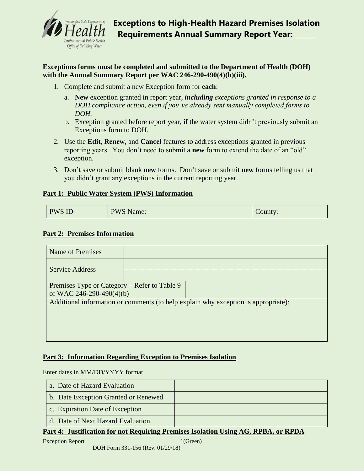

**Exceptions forms must be completed and submitted to the Department of Health (DOH) with the Annual Summary Report per WAC 246-290-490(4)(b)(iii).**

- 1. Complete and submit a new Exception form for **each**:
	- a. **New** exception granted in report year, *including exceptions granted in response to a DOH compliance action, even if you've already sent manually completed forms to DOH.*
	- b. Exception granted before report year, **if** the water system didn't previously submit an Exceptions form to DOH.
- 2. Use the **Edit**, **Renew**, and **Cancel** features to address exceptions granted in previous reporting years. You don't need to submit a **new** form to extend the date of an "old" exception.
- 3. Don't save or submit blank **new** forms. Don't save or submit **new** forms telling us that you didn't grant any exceptions in the current reporting year.

## **Part 1: Public Water System (PWS) Information**

| PWS ID: | <b>PWS Name:</b> | County: |
|---------|------------------|---------|
|---------|------------------|---------|

## **Part 2: Premises Information**

| Name of Premises                                                                   |  |  |  |  |
|------------------------------------------------------------------------------------|--|--|--|--|
| <b>Service Address</b>                                                             |  |  |  |  |
|                                                                                    |  |  |  |  |
| Premises Type or Category – Refer to Table 9                                       |  |  |  |  |
| of WAC 246-290-490(4)(b)                                                           |  |  |  |  |
| Additional information or comments (to help explain why exception is appropriate): |  |  |  |  |
|                                                                                    |  |  |  |  |
|                                                                                    |  |  |  |  |
|                                                                                    |  |  |  |  |
|                                                                                    |  |  |  |  |

## **Part 3: Information Regarding Exception to Premises Isolation**

Enter dates in MM/DD/YYYY format.

| a. Date of Hazard Evaluation         |                                       |
|--------------------------------------|---------------------------------------|
| b. Date Exception Granted or Renewed |                                       |
| c. Expiration Date of Exception      |                                       |
| d. Date of Next Hazard Evaluation    |                                       |
| $\sqrt{ }$<br>T.                     | $\mathbf{m} \mathbf{m}$<br><b>DDD</b> |